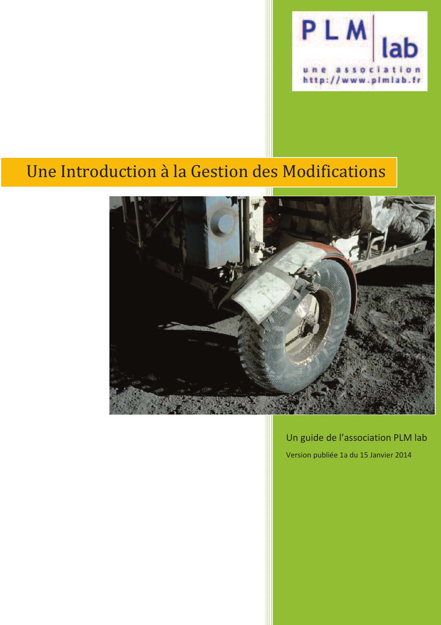

# Une Introduction à la Gestion des Modifications



Un guide de l'association PLM lab Version publiée 1a du 15 Janvier 2014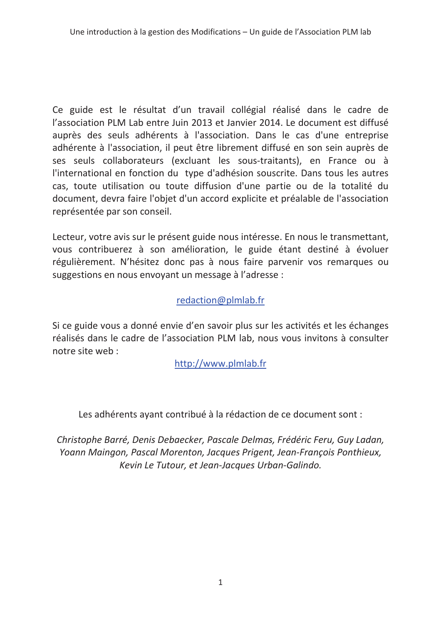Ce guide est le résultat d'un travail collégial réalisé dans le cadre de l'association PLM Lab entre Juin 2013 et Janvier 2014. Le document est diffusé auprès des seuls adhérents à l'association. Dans le cas d'une entreprise adhérente à l'association, il peut être librement diffusé en son sein auprès de ses seuls collaborateurs (excluant les sous-traitants), en France ou à l'international en fonction du type d'adhésion souscrite. Dans tous les autres cas, toute utilisation ou toute diffusion d'une partie ou de la totalité du document, devra faire l'objet d'un accord explicite et préalable de l'association représentée par son conseil.

Lecteur, votre avis sur le présent guide nous intéresse. En nous le transmettant, vous contribuerez à son amélioration, le guide étant destiné à évoluer régulièrement. N'hésitez donc pas à nous faire parvenir vos remarques ou suggestions en nous envoyant un message à l'adresse :

#### redaction@plmlab.fr

Si ce guide vous a donné envie d'en savoir plus sur les activités et les échanges réalisés dans le cadre de l'association PLM lab, nous vous invitons à consulter notre site web:

http://www.plmlab.fr

Les adhérents ayant contribué à la rédaction de ce document sont :

Christophe Barré, Denis Debaecker, Pascale Delmas, Frédéric Feru, Guy Ladan, Yoann Maingon, Pascal Morenton, Jacques Prigent, Jean-François Ponthieux, Kevin Le Tutour, et Jean-Jacques Urban-Galindo.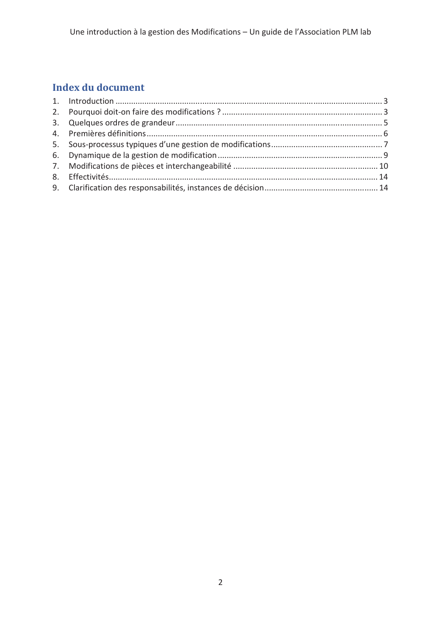# Index du document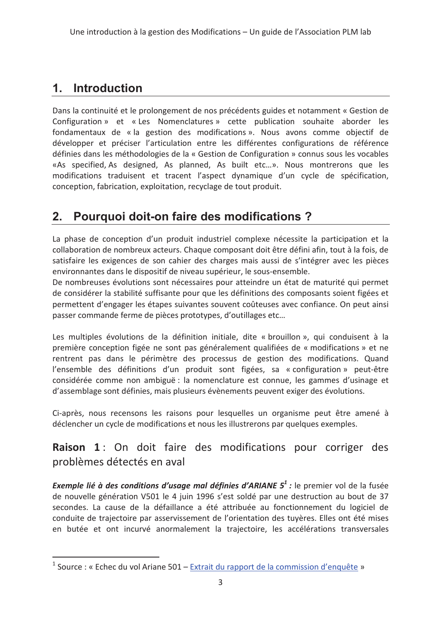# 1. Introduction

Dans la continuité et le prolongement de nos précédents guides et notamment « Gestion de Configuration » et « Les Nomenclatures » cette publication souhaite aborder les fondamentaux de « la gestion des modifications ». Nous avons comme objectif de développer et préciser l'articulation entre les différentes configurations de référence définies dans les méthodologies de la « Gestion de Configuration » connus sous les vocables «As specified, As designed, As planned, As built etc...». Nous montrerons que les modifications traduisent et tracent l'aspect dynamique d'un cycle de spécification, conception, fabrication, exploitation, recyclage de tout produit.

#### Pourquoi doit-on faire des modifications?  $2.$

La phase de conception d'un produit industriel complexe nécessite la participation et la collaboration de nombreux acteurs. Chaque composant doit être défini afin, tout à la fois, de satisfaire les exigences de son cahier des charges mais aussi de s'intégrer avec les pièces environnantes dans le dispositif de niveau supérieur, le sous-ensemble.

De nombreuses évolutions sont nécessaires pour atteindre un état de maturité qui permet de considérer la stabilité suffisante pour que les définitions des composants soient figées et permettent d'engager les étapes suivantes souvent coûteuses avec confiance. On peut ainsi passer commande ferme de pièces prototypes, d'outillages etc...

Les multiples évolutions de la définition initiale, dite « brouillon », qui conduisent à la première conception figée ne sont pas généralement qualifiées de « modifications » et ne rentrent pas dans le périmètre des processus de gestion des modifications. Quand l'ensemble des définitions d'un produit sont figées, sa « configuration » peut-être considérée comme non ambiguë : la nomenclature est connue, les gammes d'usinage et d'assemblage sont définies, mais plusieurs évènements peuvent exiger des évolutions.

Ci-après, nous recensons les raisons pour lesquelles un organisme peut être amené à déclencher un cycle de modifications et nous les illustrerons par quelques exemples.

### Raison 1: On doit faire des modifications pour corriger des problèmes détectés en aval

**Exemple lié à des conditions d'usage mal définies d'ARIANE**  $5^1$ **:** le premier vol de la fusée de nouvelle génération V501 le 4 juin 1996 s'est soldé par une destruction au bout de 37 secondes. La cause de la défaillance a été attribuée au fonctionnement du logiciel de conduite de trajectoire par asservissement de l'orientation des tuyères. Elles ont été mises en butée et ont incurvé anormalement la trajectoire, les accélérations transversales

<sup>&</sup>lt;sup>1</sup> Source : « Echec du vol Ariane 501 – Extrait du rapport de la commission d'enquête »